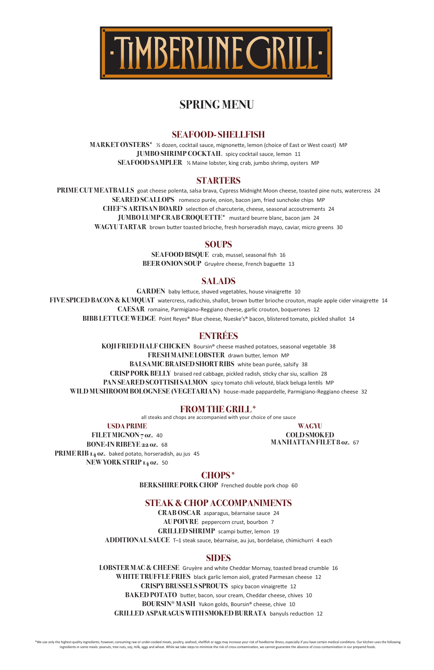### **SEAFOOD- SHELLFISH**

**MARKET OYSTERS\*** ½ dozen, cocktail sauce, mignonette, lemon (choice of East or West coast) MP **JUMBO SHRIMP COCKTAIL** spicy cocktail sauce, lemon 11 **SEAFOOD SAMPLER** % Maine lobster, king crab, jumbo shrimp, oysters MP

### **STARTERS**

PRIME CUT MEATBALLS goat cheese polenta, salsa brava, Cypress Midnight Moon cheese, toasted pine nuts, watercress 24 **SEARED SCALLOPS** romesco purée, onion, bacon jam, fried sunchoke chips MP **CHEF'S ARTISAN BOARD** selection of charcuterie, cheese, seasonal accoutrements 24 **JUMBO LUMP CRAB CROQUETTE\*** mustard beurre blanc, bacon jam 24 WAGYU TARTAR brown butter toasted brioche, fresh horseradish mayo, caviar, micro greens 30

### **SOUPS**

**SEAFOOD BISQUE** crab, mussel, seasonal fish 16 **BEER ONION SOUP** Gruyère cheese, French baguette 13

### **SALADS**

GARDEN baby lettuce, shaved vegetables, house vinaigrette 10 **FIVE SPICED BACON & KUMQUAT** watercress, radicchio, shallot, brown butter brioche crouton, maple apple cider vinaigrette 14 **CAESAR** romaine, Parmigiano-Reggiano cheese, garlic crouton, boquerones 12 **BIBB LETTUCE WEDGE** Point Reyes® Blue cheese, Nueske's® bacon, blistered tomato, pickled shallot 14

> **WAGYU COLD SMOKED MANHATTAN FILET 8 oz. 67**

**CRAB OSCAR** asparagus, béarnaise sauce 24 **AU POIVRE** peppercorn crust, bourbon 7 **GRILLED SHRIMP** scampi butter, lemon 19

**ADDITIONAL SAUCE** T-1 steak sauce, béarnaise, au jus, bordelaise, chimichurri 4 each

### **ENTRÉES**

**KOJI FRIED HALF CHICKEN** Boursin<sup>®</sup> cheese mashed potatoes, seasonal vegetable 38 **FRESH MAINE LOBSTER** drawn butter, lemon MP **BALSAMIC BRAISED SHORT RIBS** white bean purée, salsify 38 **CRISP PORK BELLY** braised red cabbage, pickled radish, sticky char siu, scallion 28 PAN SEARED SCOTTISH SALMON spicy tomato chili velouté, black beluga lentils MP WILD MUSHROOM BOLOGNESE (VEGETARIAN) house-made pappardelle, Parmigiano-Reggiano cheese 32

### **FROM THE GRILL\***

all steaks and chops are accompanied with your choice of one sauce

**USDA PRIME**

FILET MIGNON 7 oz. 40 **BONE-IN RIBEYE 22 oz.** 68 **PRIME RIB 14 oz.** baked potato, horseradish, au jus 45 **NEW YORK STRIP 14 oz.** 50

**CHOPS\***

**BERKSHIRE PORK CHOP** Frenched double pork chop 60

### **STEAK & CHOP ACCOMPANIMENTS**

### **SIDES**

LOBSTER MAC & CHEESE Gruyère and white Cheddar Mornay, toasted bread crumble 16 **WHITE TRUFFLE FRIES** black garlic lemon aioli, grated Parmesan cheese 12 **CRISPY BRUSSELS SPROUTS** spicy bacon vinaigrette 12 **BAKED POTATO** butter, bacon, sour cream, Cheddar cheese, chives 10 **BOURSIN® MASH** Yukon golds, Boursin® cheese, chive 10 **GRILLED ASPARAGUS WITH SMOKED BURRATA** banyuls reduction 12

\*We use only the highest quality ingredients; however, consuming raw or under-cooked meats, poultry, seafood, shellfish or eggs may increase your risk of foodborne illness, especially if you have certain medical conditions ingredients in some meals: peanuts, tree nuts, soy, milk, eggs and wheat. While we take steps to minimize the risk of cross-contamination, we cannot guarantee the absence of cross-contamination in our prepared foods.



## **SPRING MENU**